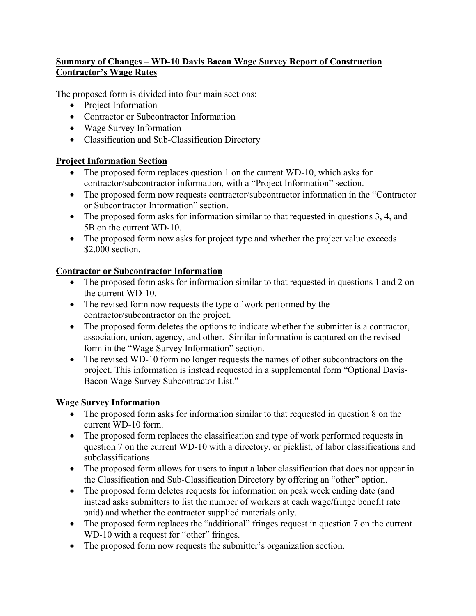# **Summary of Changes – WD-10 Davis Bacon Wage Survey Report of Construction Contractor's Wage Rates**

The proposed form is divided into four main sections:

- Project Information
- Contractor or Subcontractor Information
- Wage Survey Information
- Classification and Sub-Classification Directory

## **Project Information Section**

- The proposed form replaces question 1 on the current WD-10, which asks for contractor/subcontractor information, with a "Project Information" section.
- The proposed form now requests contractor/subcontractor information in the "Contractor" or Subcontractor Information" section.
- The proposed form asks for information similar to that requested in questions 3, 4, and 5B on the current WD-10.
- The proposed form now asks for project type and whether the project value exceeds \$2,000 section.

## **Contractor or Subcontractor Information**

- The proposed form asks for information similar to that requested in questions 1 and 2 on the current WD-10.
- The revised form now requests the type of work performed by the contractor/subcontractor on the project.
- The proposed form deletes the options to indicate whether the submitter is a contractor, association, union, agency, and other. Similar information is captured on the revised form in the "Wage Survey Information" section.
- The revised WD-10 form no longer requests the names of other subcontractors on the project. This information is instead requested in a supplemental form "Optional Davis-Bacon Wage Survey Subcontractor List."

## **Wage Survey Information**

- The proposed form asks for information similar to that requested in question 8 on the current WD-10 form.
- The proposed form replaces the classification and type of work performed requests in question 7 on the current WD-10 with a directory, or picklist, of labor classifications and subclassifications.
- The proposed form allows for users to input a labor classification that does not appear in the Classification and Sub-Classification Directory by offering an "other" option.
- The proposed form deletes requests for information on peak week ending date (and instead asks submitters to list the number of workers at each wage/fringe benefit rate paid) and whether the contractor supplied materials only.
- The proposed form replaces the "additional" fringes request in question 7 on the current WD-10 with a request for "other" fringes.
- The proposed form now requests the submitter's organization section.